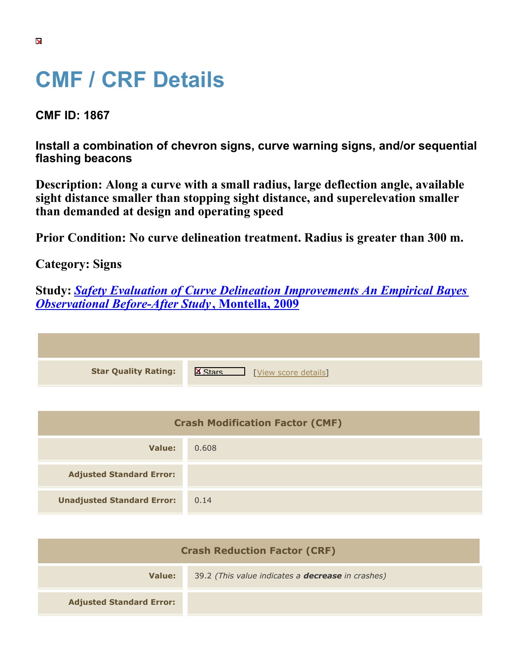## **CMF / CRF Details**

**CMF ID: 1867**

**Install a combination of chevron signs, curve warning signs, and/or sequential flashing beacons**

**Description: Along a curve with a small radius, large deflection angle, available sight distance smaller than stopping sight distance, and superelevation smaller than demanded at design and operating speed**

**Prior Condition: No curve delineation treatment. Radius is greater than 300 m.**

**Category: Signs**

**Study:** *[Safety Evaluation of Curve Delineation Improvements An Empirical Bayes](https://cmfclearinghouse.org/study_detail.cfm?stid=102) [Observational Before-After Study](https://cmfclearinghouse.org/study_detail.cfm?stid=102)***[, Montella, 2009](https://cmfclearinghouse.org/study_detail.cfm?stid=102)**

| <b>Star Quality Rating:</b> | $\mathbf{X}$<br>[View score details] |
|-----------------------------|--------------------------------------|

| <b>Crash Modification Factor (CMF)</b> |       |
|----------------------------------------|-------|
| Value:                                 | 0.608 |
| <b>Adjusted Standard Error:</b>        |       |
| <b>Unadjusted Standard Error:</b>      | 0.14  |

| <b>Crash Reduction Factor (CRF)</b> |                                                          |
|-------------------------------------|----------------------------------------------------------|
| <b>Value:</b>                       | 39.2 (This value indicates a <b>decrease</b> in crashes) |
| <b>Adjusted Standard Error:</b>     |                                                          |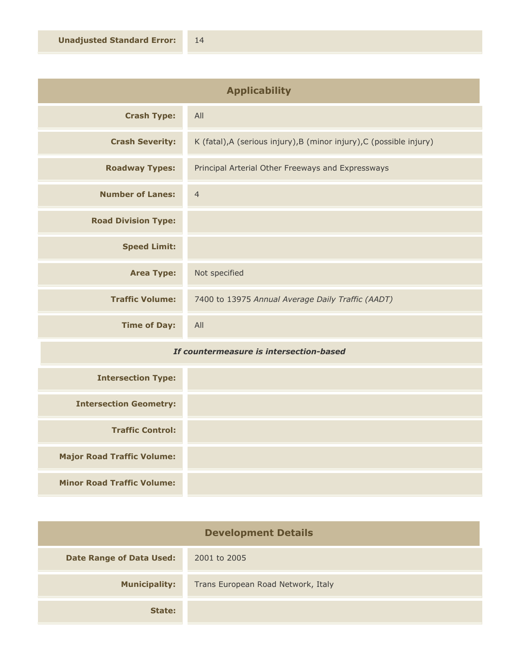| <b>Applicability</b>       |                                                                      |
|----------------------------|----------------------------------------------------------------------|
| <b>Crash Type:</b>         | All                                                                  |
| <b>Crash Severity:</b>     | K (fatal), A (serious injury), B (minor injury), C (possible injury) |
| <b>Roadway Types:</b>      | Principal Arterial Other Freeways and Expressways                    |
| <b>Number of Lanes:</b>    | $\overline{4}$                                                       |
| <b>Road Division Type:</b> |                                                                      |
| <b>Speed Limit:</b>        |                                                                      |
| <b>Area Type:</b>          | Not specified                                                        |
| <b>Traffic Volume:</b>     | 7400 to 13975 Annual Average Daily Traffic (AADT)                    |
| <b>Time of Day:</b>        | All                                                                  |

## *If countermeasure is intersection-based*

| <b>Intersection Type:</b>         |  |
|-----------------------------------|--|
| <b>Intersection Geometry:</b>     |  |
| <b>Traffic Control:</b>           |  |
| <b>Major Road Traffic Volume:</b> |  |
| <b>Minor Road Traffic Volume:</b> |  |

| <b>Development Details</b>      |                                    |
|---------------------------------|------------------------------------|
| <b>Date Range of Data Used:</b> | 2001 to 2005                       |
| <b>Municipality:</b>            | Trans European Road Network, Italy |
| State:                          |                                    |